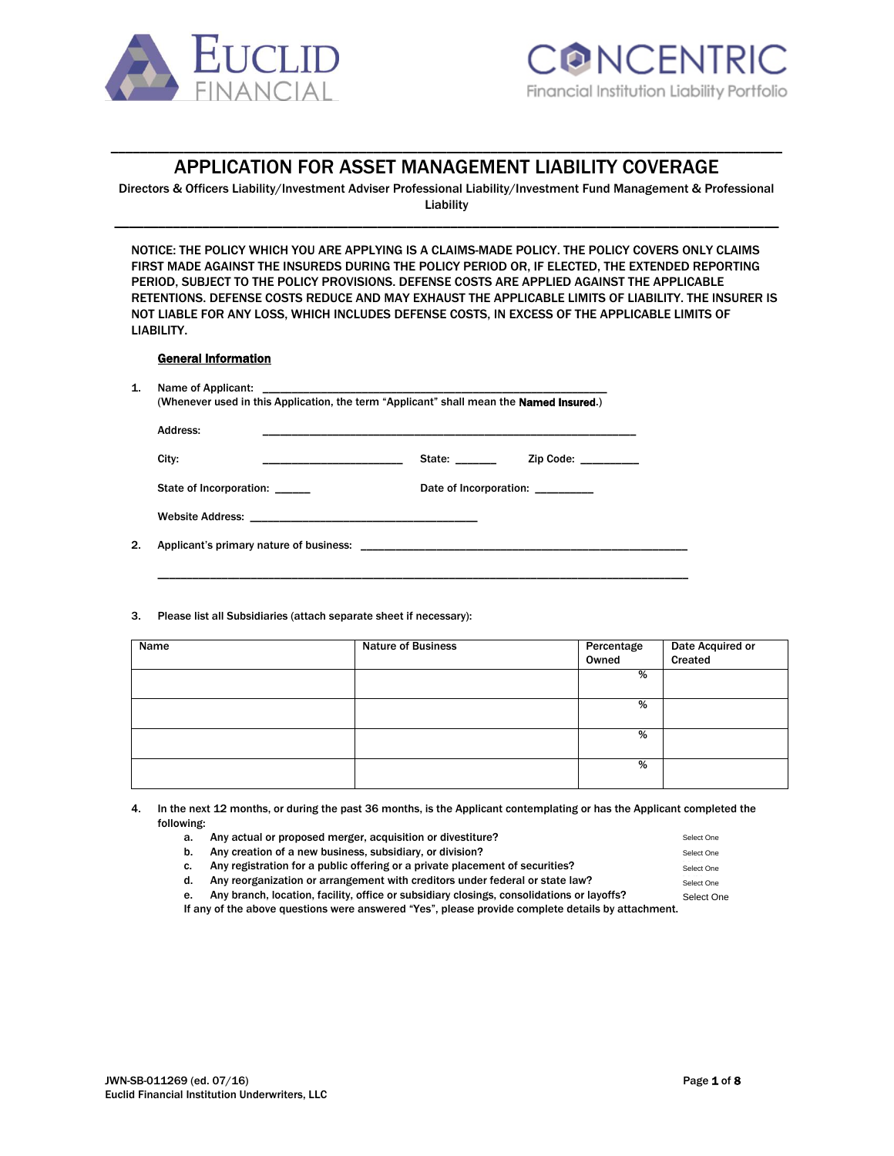



# \_\_\_\_\_\_\_\_\_\_\_\_\_\_\_\_\_\_\_\_\_\_\_\_\_\_\_\_\_\_\_\_\_\_\_\_\_\_\_\_\_\_\_\_\_\_\_\_\_\_\_\_\_\_\_\_\_\_\_\_\_\_\_\_\_\_\_\_\_\_\_\_\_\_\_\_\_\_\_\_\_\_\_\_\_\_\_\_\_\_\_\_ APPLICATION FOR ASSET MANAGEMENT LIABILITY COVERAGE

Directors & Officers Liability/Investment Adviser Professional Liability/Investment Fund Management & Professional Liability \_\_\_\_\_\_\_\_\_\_\_\_\_\_\_\_\_\_\_\_\_\_\_\_\_\_\_\_\_\_\_\_\_\_\_\_\_\_\_\_\_\_\_\_\_\_\_\_\_\_\_\_\_\_\_\_\_\_\_\_\_\_\_\_\_\_\_\_\_\_\_\_\_\_\_\_\_\_\_\_\_\_\_\_\_\_\_\_\_\_\_

NOTICE: THE POLICY WHICH YOU ARE APPLYING IS A CLAIMS-MADE POLICY. THE POLICY COVERS ONLY CLAIMS FIRST MADE AGAINST THE INSUREDS DURING THE POLICY PERIOD OR, IF ELECTED, THE EXTENDED REPORTING PERIOD, SUBJECT TO THE POLICY PROVISIONS. DEFENSE COSTS ARE APPLIED AGAINST THE APPLICABLE RETENTIONS. DEFENSE COSTS REDUCE AND MAY EXHAUST THE APPLICABLE LIMITS OF LIABILITY. THE INSURER IS NOT LIABLE FOR ANY LOSS, WHICH INCLUDES DEFENSE COSTS, IN EXCESS OF THE APPLICABLE LIMITS OF LIABILITY.

#### General Information

| State:<br>Date of Incorporation: | Address:                |                         |
|----------------------------------|-------------------------|-------------------------|
|                                  | City:                   | Zip Code: $\frac{1}{2}$ |
|                                  | State of Incorporation: |                         |
|                                  |                         |                         |

#### 3. Please list all Subsidiaries (attach separate sheet if necessary):

| Name | <b>Nature of Business</b> | Percentage<br>Owned | Date Acquired or<br>Created |
|------|---------------------------|---------------------|-----------------------------|
|      |                           |                     |                             |
|      |                           | %                   |                             |
|      |                           |                     |                             |
|      |                           | %                   |                             |
|      |                           |                     |                             |
|      |                           | %                   |                             |
|      |                           |                     |                             |
|      |                           | %                   |                             |
|      |                           |                     |                             |

4. In the next 12 months, or during the past 36 months, is the Applicant contemplating or has the Applicant completed the following:

a. Any actual or proposed merger, acquisition or divestiture?

- b. Any creation of a new business, subsidiary, or division?
- c. Any registration for a public offering or a private placement of securities?

d. Any reorganization or arrangement with creditors under federal or state law?

e. Any branch, location, facility, office or subsidiary closings, consolidations or layoffs?

If any of the above questions were answered "Yes", please provide complete details by attachment.

Select One Select One Select One Select One Select One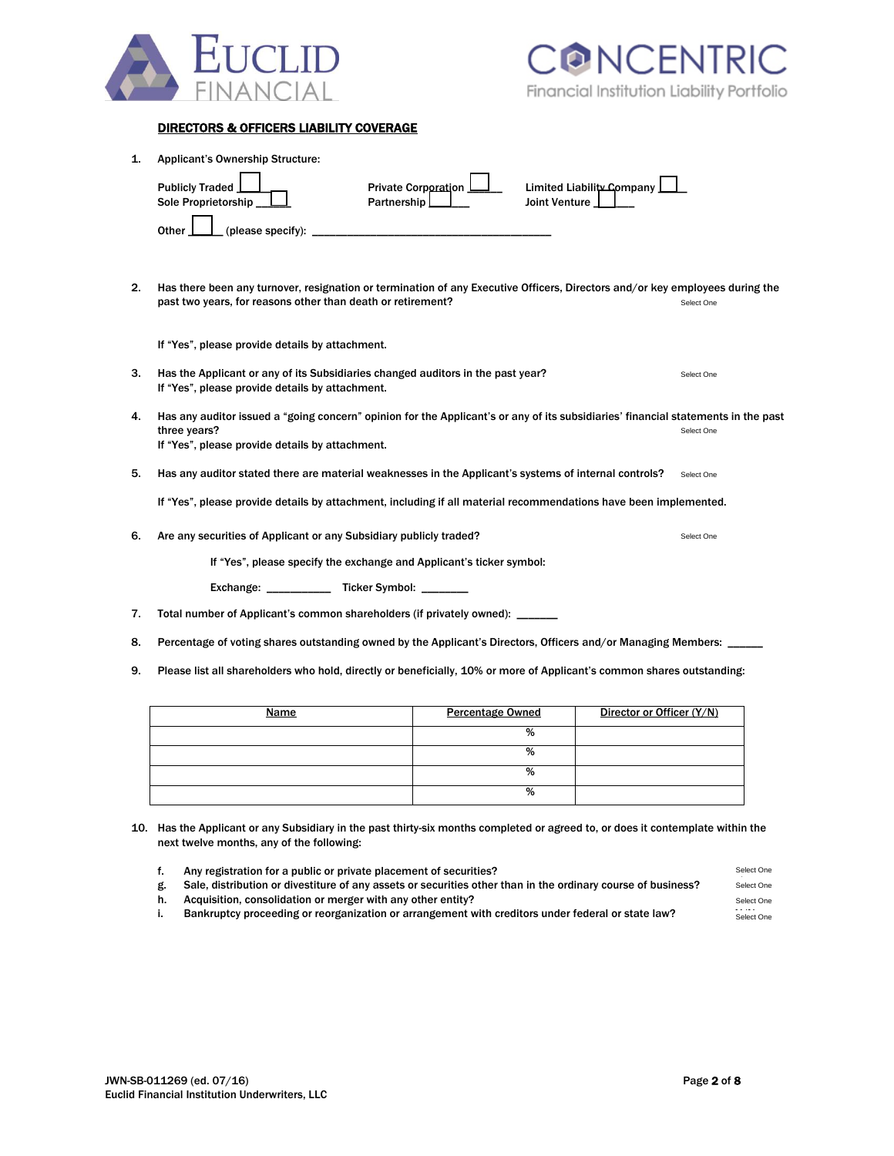

## DIRECTORS & OFFICERS LIABILITY COVERAGE

| 1. | <b>Applicant's Ownership Structure:</b>                                                                                            |                            |               |                           |            |  |
|----|------------------------------------------------------------------------------------------------------------------------------------|----------------------------|---------------|---------------------------|------------|--|
|    | <b>Publicly Traded</b>                                                                                                             | <b>Private Corporation</b> |               | Limited Liability Company |            |  |
|    | Sole Proprietorship<br>Partnership                                                                                                 |                            | Joint Venture |                           |            |  |
|    | (please specify):<br>Other                                                                                                         |                            |               |                           |            |  |
|    |                                                                                                                                    |                            |               |                           |            |  |
| 2. | Has there been any turnover, resignation or termination of any Executive Officers, Directors and/or key employees during the       |                            |               |                           |            |  |
|    | past two years, for reasons other than death or retirement?                                                                        |                            |               |                           | Select One |  |
|    | If "Yes", please provide details by attachment.                                                                                    |                            |               |                           |            |  |
| 3. | Has the Applicant or any of its Subsidiaries changed auditors in the past year?<br>If "Yes", please provide details by attachment. |                            |               |                           | Select One |  |
| 4. | Has any auditor issued a "going concern" opinion for the Applicant's or any of its subsidiaries' financial statements in the past  |                            |               |                           |            |  |
|    | three years?<br>If "Yes", please provide details by attachment.                                                                    |                            |               |                           | Select One |  |
| 5. | Has any auditor stated there are material weaknesses in the Applicant's systems of internal controls?                              |                            |               |                           | Select One |  |
|    | If "Yes", please provide details by attachment, including if all material recommendations have been implemented.                   |                            |               |                           |            |  |
| 6. | Are any securities of Applicant or any Subsidiary publicly traded?                                                                 |                            |               |                           | Select One |  |
|    | If "Yes", please specify the exchange and Applicant's ticker symbol:                                                               |                            |               |                           |            |  |
|    | Exchange: _______________ Ticker Symbol: ________                                                                                  |                            |               |                           |            |  |
| 7. | Total number of Applicant's common shareholders (if privately owned): _______                                                      |                            |               |                           |            |  |
| 8. | Percentage of voting shares outstanding owned by the Applicant's Directors, Officers and/or Managing Members:                      |                            |               |                           |            |  |
| 9. | Please list all shareholders who hold, directly or beneficially, 10% or more of Applicant's common shares outstanding:             |                            |               |                           |            |  |
|    |                                                                                                                                    |                            |               | Director or Officer (Y/N) |            |  |
|    | Name                                                                                                                               | <b>Percentage Owned</b>    |               |                           |            |  |

| <u>Name</u> | <b>Percentage Owned</b> | <u>Director or Officer (Y/N)</u> |
|-------------|-------------------------|----------------------------------|
|             | %                       |                                  |
|             | %                       |                                  |
|             | %                       |                                  |
|             | %                       |                                  |

10. Has the Applicant or any Subsidiary in the past thirty-six months completed or agreed to, or does it contemplate within the next twelve months, any of the following:

|    | Any registration for a public or private placement of securities?                                            | Select One |
|----|--------------------------------------------------------------------------------------------------------------|------------|
| g. | Sale, distribution or divestiture of any assets or securities other than in the ordinary course of business? | Select One |
| h. | Acquisition, consolidation or merger with any other entity?                                                  | Select One |
|    | Bankruptcy proceeding or reorganization or arrangement with creditors under federal or state law?            | Select One |
|    |                                                                                                              |            |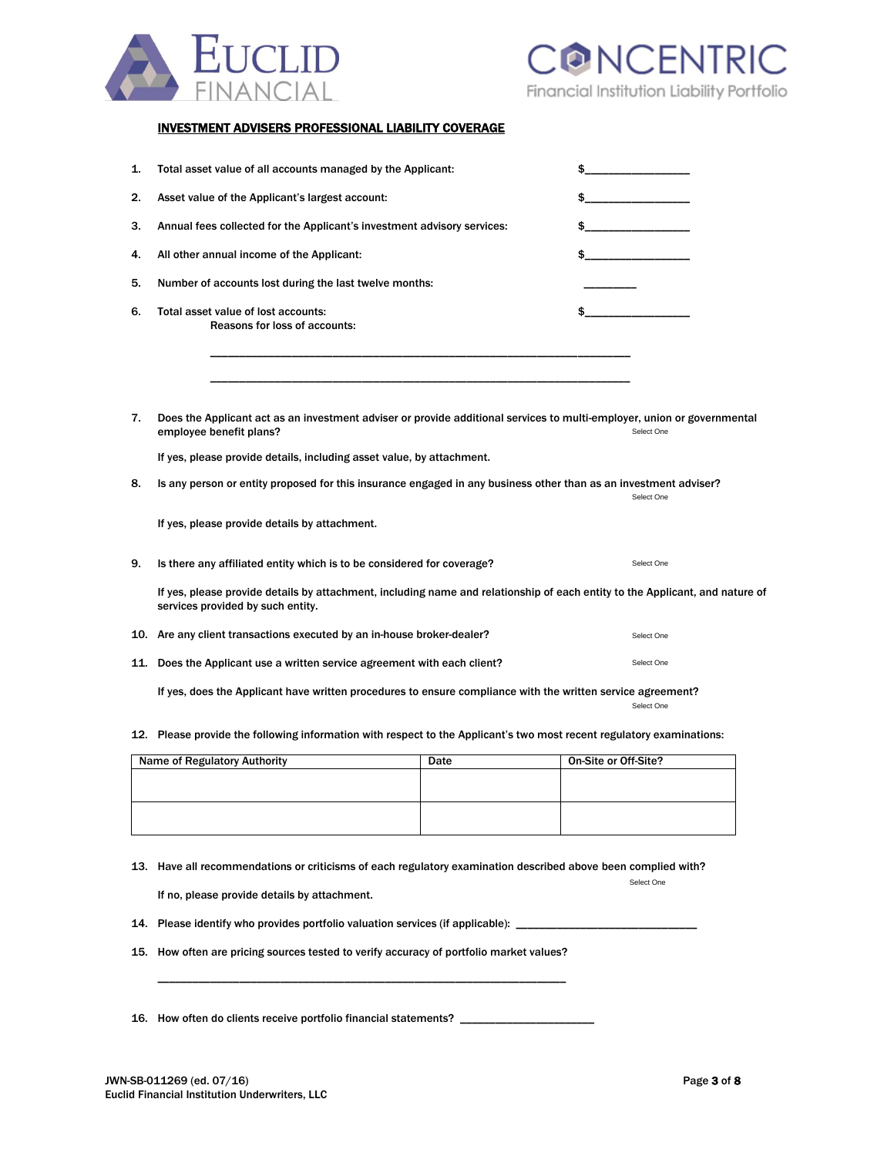

### INVESTMENT ADVISERS PROFESSIONAL LIABILITY COVERAGE

| 1. | Total asset value of all accounts managed by the Applicant:                                                                                                       |      | \$                   |
|----|-------------------------------------------------------------------------------------------------------------------------------------------------------------------|------|----------------------|
| 2. | Asset value of the Applicant's largest account:                                                                                                                   |      | \$                   |
| 3. | Annual fees collected for the Applicant's investment advisory services:                                                                                           |      |                      |
| 4. | All other annual income of the Applicant:                                                                                                                         |      |                      |
| 5. | Number of accounts lost during the last twelve months:                                                                                                            |      |                      |
| 6. | Total asset value of lost accounts:<br>Reasons for loss of accounts:                                                                                              |      | \$                   |
|    |                                                                                                                                                                   |      |                      |
| 7. | Does the Applicant act as an investment adviser or provide additional services to multi-employer, union or governmental<br>employee benefit plans?                |      | Select One           |
|    | If yes, please provide details, including asset value, by attachment.                                                                                             |      |                      |
| 8. | Is any person or entity proposed for this insurance engaged in any business other than as an investment adviser?                                                  |      | Select One           |
|    | If yes, please provide details by attachment.                                                                                                                     |      |                      |
| 9. | Is there any affiliated entity which is to be considered for coverage?                                                                                            |      | Select One           |
|    | If yes, please provide details by attachment, including name and relationship of each entity to the Applicant, and nature of<br>services provided by such entity. |      |                      |
|    | 10. Are any client transactions executed by an in-house broker-dealer?                                                                                            |      | Select One           |
|    | 11. Does the Applicant use a written service agreement with each client?                                                                                          |      | Select One           |
|    | If yes, does the Applicant have written procedures to ensure compliance with the written service agreement?                                                       |      | Select One           |
|    | 12. Please provide the following information with respect to the Applicant's two most recent regulatory examinations:                                             |      |                      |
|    | <b>Name of Regulatory Authority</b>                                                                                                                               | Date | On-Site or Off-Site? |
|    |                                                                                                                                                                   |      |                      |

|  | $- - - -$ |  |
|--|-----------|--|
|  |           |  |
|  |           |  |
|  |           |  |
|  |           |  |
|  |           |  |
|  |           |  |
|  |           |  |
|  |           |  |
|  |           |  |

13. Have all recommendations or criticisms of each regulatory examination described above been complied with?

If no, please provide details by attachment.

- 14. Please identify who provides portfolio valuation services (if applicable): \_\_
- 15. How often are pricing sources tested to verify accuracy of portfolio market values?

16. How often do clients receive portfolio financial statements?

\_\_\_\_\_\_\_\_\_\_\_\_\_\_\_\_\_\_\_\_\_\_\_\_\_\_\_\_\_\_\_\_\_\_\_\_\_\_\_\_\_\_\_\_\_\_\_\_\_\_\_\_\_\_\_\_\_\_\_\_\_\_\_\_\_\_\_\_\_\_

Select One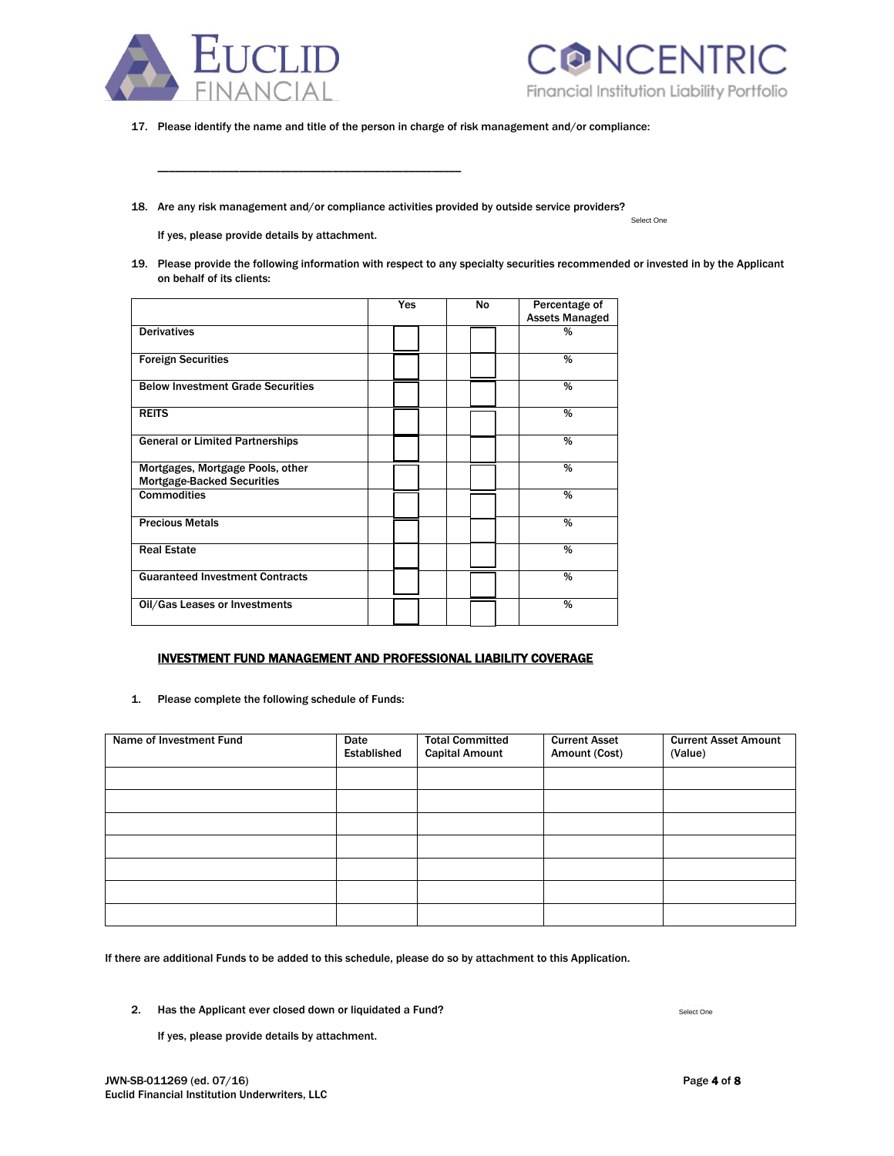



Select One

17. Please identify the name and title of the person in charge of risk management and/or compliance:

18. Are any risk management and/or compliance activities provided by outside service providers?

If yes, please provide details by attachment.

\_\_\_\_\_\_\_\_\_\_\_\_\_\_\_\_\_\_\_\_\_\_\_\_\_\_\_\_\_\_\_\_\_\_\_\_\_\_\_\_\_\_\_\_\_\_\_\_\_\_\_\_

19. Please provide the following information with respect to any specialty securities recommended or invested in by the Applicant on behalf of its clients:

|                                                                       | Yes | No | Percentage of<br><b>Assets Managed</b> |  |
|-----------------------------------------------------------------------|-----|----|----------------------------------------|--|
| <b>Derivatives</b>                                                    |     |    | %                                      |  |
| <b>Foreign Securities</b>                                             |     |    | %                                      |  |
| <b>Below Investment Grade Securities</b>                              |     |    | %                                      |  |
| <b>REITS</b>                                                          |     |    | %                                      |  |
| <b>General or Limited Partnerships</b>                                |     |    | %                                      |  |
| Mortgages, Mortgage Pools, other<br><b>Mortgage-Backed Securities</b> |     |    | %                                      |  |
| <b>Commodities</b>                                                    |     |    | %                                      |  |
| <b>Precious Metals</b>                                                |     |    | %                                      |  |
| <b>Real Estate</b>                                                    |     |    | %                                      |  |
| <b>Guaranteed Investment Contracts</b>                                |     |    | %                                      |  |
| Oil/Gas Leases or Investments                                         |     |    | %                                      |  |

### INVESTMENT FUND MANAGEMENT AND PROFESSIONAL LIABILITY COVERAGE

1. Please complete the following schedule of Funds:

| Name of Investment Fund | Date<br>Established | <b>Total Committed</b><br><b>Capital Amount</b> | <b>Current Asset</b><br>Amount (Cost) | <b>Current Asset Amount</b><br>(Value) |
|-------------------------|---------------------|-------------------------------------------------|---------------------------------------|----------------------------------------|
|                         |                     |                                                 |                                       |                                        |
|                         |                     |                                                 |                                       |                                        |
|                         |                     |                                                 |                                       |                                        |
|                         |                     |                                                 |                                       |                                        |
|                         |                     |                                                 |                                       |                                        |
|                         |                     |                                                 |                                       |                                        |
|                         |                     |                                                 |                                       |                                        |

If there are additional Funds to be added to this schedule, please do so by attachment to this Application.

2. Has the Applicant ever closed down or liquidated a Fund?

If yes, please provide details by attachment.

Select One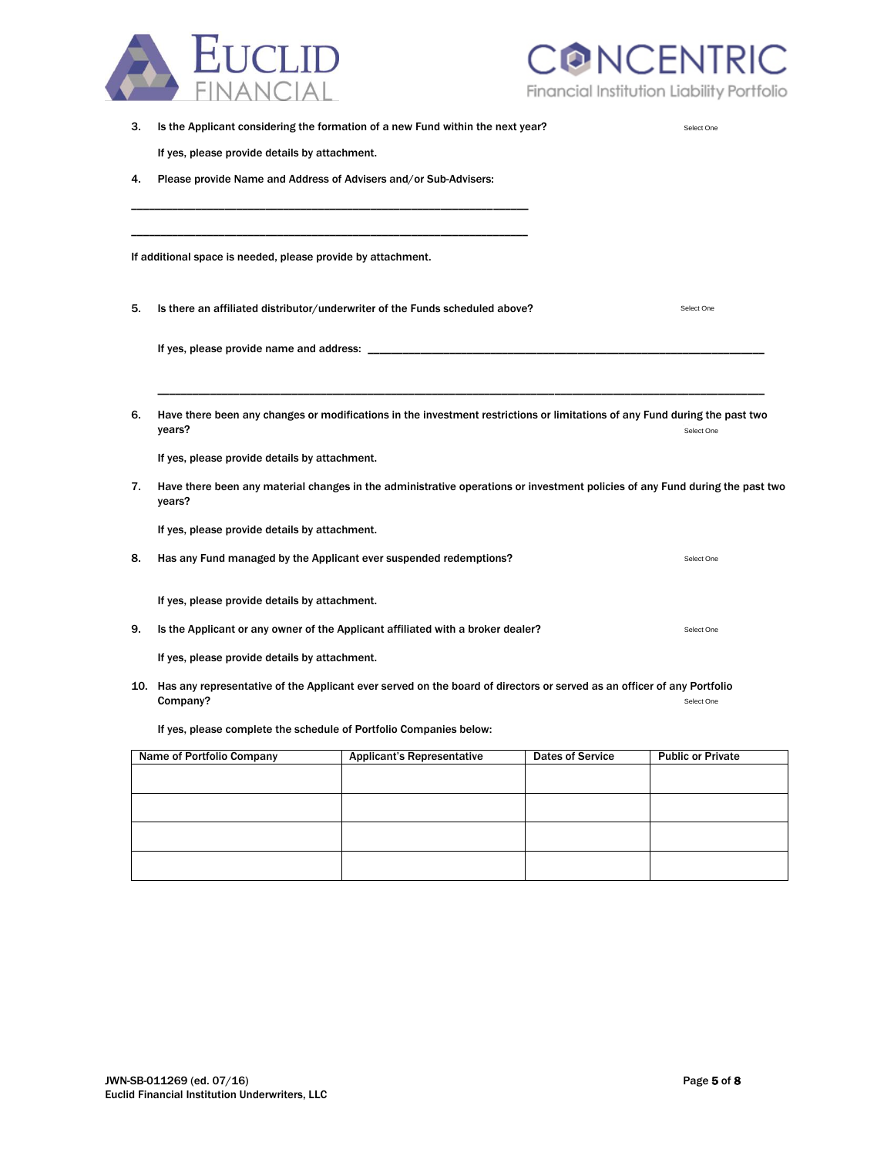

CONCENTRIC Financial Institution Liability Portfolio

| 3. |                                                                    | Is the Applicant considering the formation of a new Fund within the next year?                                               |                         | Select One               |
|----|--------------------------------------------------------------------|------------------------------------------------------------------------------------------------------------------------------|-------------------------|--------------------------|
|    | If yes, please provide details by attachment.                      |                                                                                                                              |                         |                          |
| 4. | Please provide Name and Address of Advisers and/or Sub-Advisers:   |                                                                                                                              |                         |                          |
|    |                                                                    |                                                                                                                              |                         |                          |
|    | If additional space is needed, please provide by attachment.       |                                                                                                                              |                         |                          |
| 5. |                                                                    | Is there an affiliated distributor/underwriter of the Funds scheduled above?                                                 |                         | Select One               |
|    | If yes, please provide name and address: _                         |                                                                                                                              |                         |                          |
|    |                                                                    |                                                                                                                              |                         |                          |
| 6. | years?                                                             | Have there been any changes or modifications in the investment restrictions or limitations of any Fund during the past two   |                         | Select One               |
|    | If yes, please provide details by attachment.                      |                                                                                                                              |                         |                          |
| 7. | years?                                                             | Have there been any material changes in the administrative operations or investment policies of any Fund during the past two |                         |                          |
|    | If yes, please provide details by attachment.                      |                                                                                                                              |                         |                          |
| 8. | Has any Fund managed by the Applicant ever suspended redemptions?  |                                                                                                                              |                         | Select One               |
|    | If yes, please provide details by attachment.                      |                                                                                                                              |                         |                          |
| 9. |                                                                    | Is the Applicant or any owner of the Applicant affiliated with a broker dealer?                                              |                         | Select One               |
|    | If yes, please provide details by attachment.                      |                                                                                                                              |                         |                          |
|    | Company?                                                           | 10. Has any representative of the Applicant ever served on the board of directors or served as an officer of any Portfolio   |                         | Select One               |
|    | If yes, please complete the schedule of Portfolio Companies below: |                                                                                                                              |                         |                          |
|    | Name of Portfolio Company                                          | <b>Applicant's Representative</b>                                                                                            | <b>Dates of Service</b> | <b>Public or Private</b> |
|    |                                                                    |                                                                                                                              |                         |                          |
|    |                                                                    |                                                                                                                              |                         |                          |
|    |                                                                    |                                                                                                                              |                         |                          |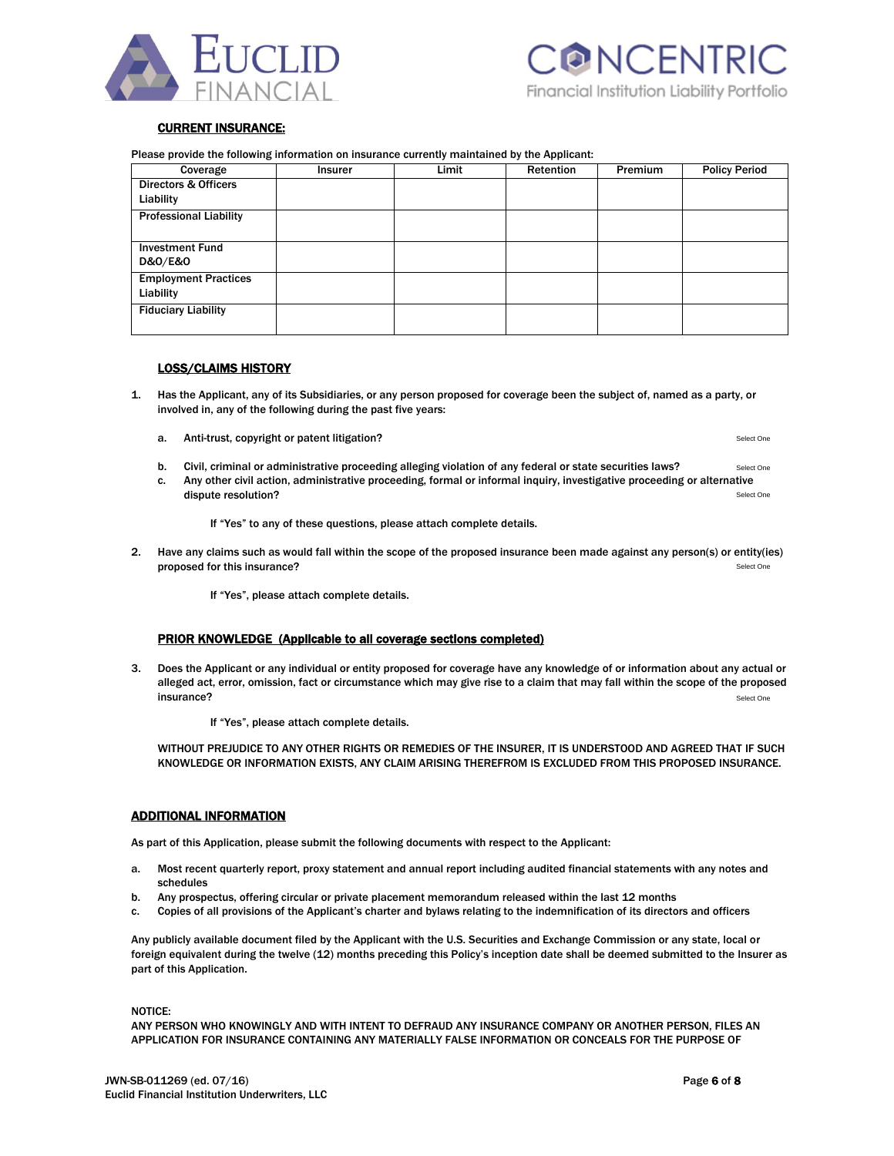



#### CURRENT INSURANCE:

Please provide the following information on insurance currently maintained by the Applicant:

| Coverage                        | Insurer | Limit | Retention | <b>Premium</b> | <b>Policy Period</b> |
|---------------------------------|---------|-------|-----------|----------------|----------------------|
| <b>Directors &amp; Officers</b> |         |       |           |                |                      |
| Liability                       |         |       |           |                |                      |
| <b>Professional Liability</b>   |         |       |           |                |                      |
|                                 |         |       |           |                |                      |
| <b>Investment Fund</b>          |         |       |           |                |                      |
| <b>D&amp;O/E&amp;O</b>          |         |       |           |                |                      |
| <b>Employment Practices</b>     |         |       |           |                |                      |
| Liability                       |         |       |           |                |                      |
| <b>Fiduciary Liability</b>      |         |       |           |                |                      |
|                                 |         |       |           |                |                      |

#### LOSS/CLAIMS HISTORY

- 1. Has the Applicant, any of its Subsidiaries, or any person proposed for coverage been the subject of, named as a party, or involved in, any of the following during the past five years:
	- a. Anti-trust, copyright or patent litigation?

Select One

- b. Civil, criminal or administrative proceeding alleging violation of any federal or state securities laws? Select One
- c. Any other civil action, administrative proceeding, formal or informal inquiry, investigative proceeding or alternative dispute resolution? Select One

If "Yes" to any of these questions, please attach complete details.

2. Have any claims such as would fall within the scope of the proposed insurance been made against any person(s) or entity(ies) proposed for this insurance? Select One

If "Yes", please attach complete details.

#### PRIOR KNOWLEDGE (Applicable to all coverage sections completed)

3. Does the Applicant or any individual or entity proposed for coverage have any knowledge of or information about any actual or alleged act, error, omission, fact or circumstance which may give rise to a claim that may fall within the scope of the proposed  $\blacksquare$ insurance?  $\blacksquare$ Select One

If "Yes", please attach complete details.

WITHOUT PREJUDICE TO ANY OTHER RIGHTS OR REMEDIES OF THE INSURER, IT IS UNDERSTOOD AND AGREED THAT IF SUCH KNOWLEDGE OR INFORMATION EXISTS, ANY CLAIM ARISING THEREFROM IS EXCLUDED FROM THIS PROPOSED INSURANCE.

#### ADDITIONAL INFORMATION

As part of this Application, please submit the following documents with respect to the Applicant:

- a. Most recent quarterly report, proxy statement and annual report including audited financial statements with any notes and schedules
- b. Any prospectus, offering circular or private placement memorandum released within the last 12 months
- c. Copies of all provisions of the Applicant's charter and bylaws relating to the indemnification of its directors and officers

Any publicly available document filed by the Applicant with the U.S. Securities and Exchange Commission or any state, local or foreign equivalent during the twelve (12) months preceding this Policy's inception date shall be deemed submitted to the Insurer as part of this Application.

NOTICE:

ANY PERSON WHO KNOWINGLY AND WITH INTENT TO DEFRAUD ANY INSURANCE COMPANY OR ANOTHER PERSON, FILES AN APPLICATION FOR INSURANCE CONTAINING ANY MATERIALLY FALSE INFORMATION OR CONCEALS FOR THE PURPOSE OF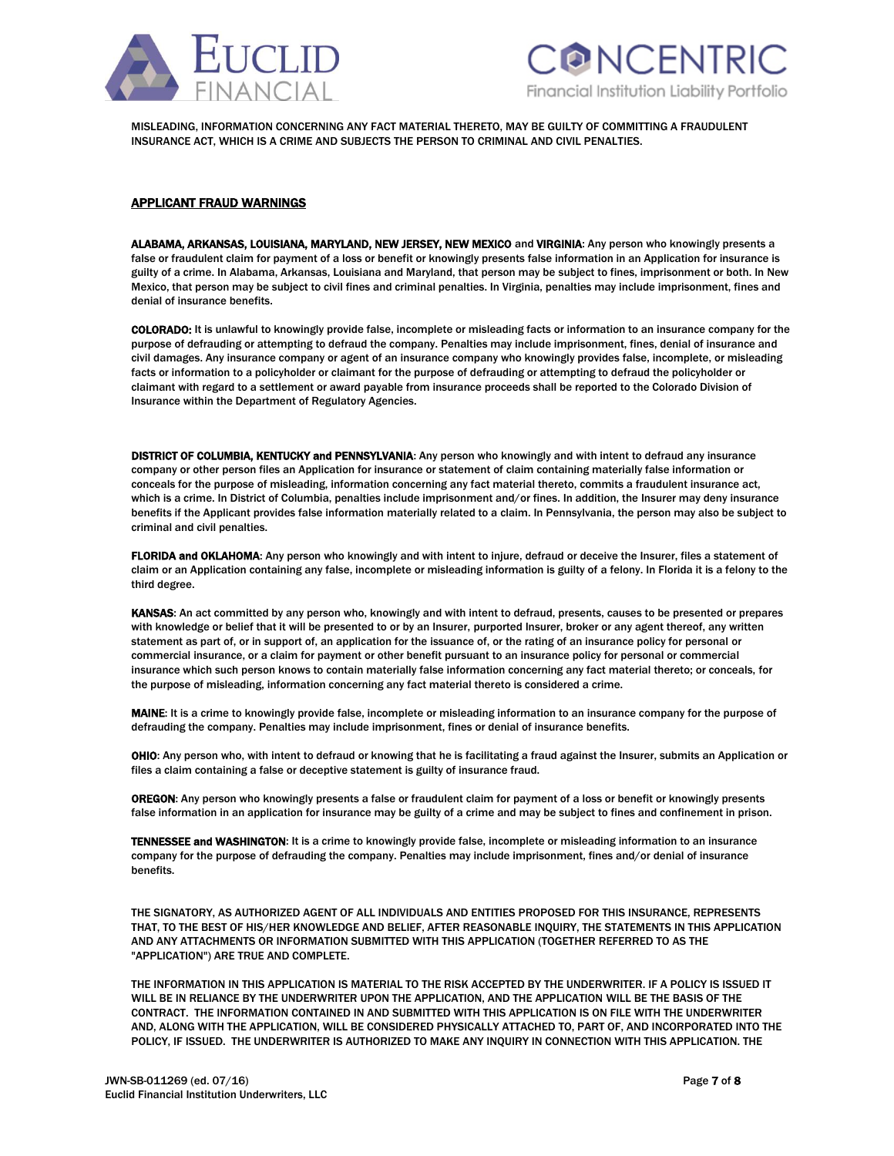



MISLEADING, INFORMATION CONCERNING ANY FACT MATERIAL THERETO, MAY BE GUILTY OF COMMITTING A FRAUDULENT INSURANCE ACT, WHICH IS A CRIME AND SUBJECTS THE PERSON TO CRIMINAL AND CIVIL PENALTIES.

#### APPLICANT FRAUD WARNINGS

ALABAMA, ARKANSAS, LOUISIANA, MARYLAND, NEW JERSEY, NEW MEXICO and VIRGINIA: Any person who knowingly presents a false or fraudulent claim for payment of a loss or benefit or knowingly presents false information in an Application for insurance is guilty of a crime. In Alabama, Arkansas, Louisiana and Maryland, that person may be subject to fines, imprisonment or both. In New Mexico, that person may be subject to civil fines and criminal penalties. In Virginia, penalties may include imprisonment, fines and denial of insurance benefits.

COLORADO: It is unlawful to knowingly provide false, incomplete or misleading facts or information to an insurance company for the purpose of defrauding or attempting to defraud the company. Penalties may include imprisonment, fines, denial of insurance and civil damages. Any insurance company or agent of an insurance company who knowingly provides false, incomplete, or misleading facts or information to a policyholder or claimant for the purpose of defrauding or attempting to defraud the policyholder or claimant with regard to a settlement or award payable from insurance proceeds shall be reported to the Colorado Division of Insurance within the Department of Regulatory Agencies.

DISTRICT OF COLUMBIA, KENTUCKY and PENNSYLVANIA: Any person who knowingly and with intent to defraud any insurance company or other person files an Application for insurance or statement of claim containing materially false information or conceals for the purpose of misleading, information concerning any fact material thereto, commits a fraudulent insurance act, which is a crime. In District of Columbia, penalties include imprisonment and/or fines. In addition, the Insurer may deny insurance benefits if the Applicant provides false information materially related to a claim. In Pennsylvania, the person may also be subject to criminal and civil penalties.

FLORIDA and OKLAHOMA: Any person who knowingly and with intent to injure, defraud or deceive the Insurer, files a statement of claim or an Application containing any false, incomplete or misleading information is guilty of a felony. In Florida it is a felony to the third degree.

KANSAS: An act committed by any person who, knowingly and with intent to defraud, presents, causes to be presented or prepares with knowledge or belief that it will be presented to or by an Insurer, purported Insurer, broker or any agent thereof, any written statement as part of, or in support of, an application for the issuance of, or the rating of an insurance policy for personal or commercial insurance, or a claim for payment or other benefit pursuant to an insurance policy for personal or commercial insurance which such person knows to contain materially false information concerning any fact material thereto; or conceals, for the purpose of misleading, information concerning any fact material thereto is considered a crime.

MAINE: It is a crime to knowingly provide false, incomplete or misleading information to an insurance company for the purpose of defrauding the company. Penalties may include imprisonment, fines or denial of insurance benefits.

OHIO: Any person who, with intent to defraud or knowing that he is facilitating a fraud against the Insurer, submits an Application or files a claim containing a false or deceptive statement is guilty of insurance fraud.

OREGON: Any person who knowingly presents a false or fraudulent claim for payment of a loss or benefit or knowingly presents false information in an application for insurance may be guilty of a crime and may be subject to fines and confinement in prison.

TENNESSEE and WASHINGTON: It is a crime to knowingly provide false, incomplete or misleading information to an insurance company for the purpose of defrauding the company. Penalties may include imprisonment, fines and/or denial of insurance benefits.

THE SIGNATORY, AS AUTHORIZED AGENT OF ALL INDIVIDUALS AND ENTITIES PROPOSED FOR THIS INSURANCE, REPRESENTS THAT, TO THE BEST OF HIS/HER KNOWLEDGE AND BELIEF, AFTER REASONABLE INQUIRY, THE STATEMENTS IN THIS APPLICATION AND ANY ATTACHMENTS OR INFORMATION SUBMITTED WITH THIS APPLICATION (TOGETHER REFERRED TO AS THE "APPLICATION") ARE TRUE AND COMPLETE.

THE INFORMATION IN THIS APPLICATION IS MATERIAL TO THE RISK ACCEPTED BY THE UNDERWRITER. IF A POLICY IS ISSUED IT WILL BE IN RELIANCE BY THE UNDERWRITER UPON THE APPLICATION, AND THE APPLICATION WILL BE THE BASIS OF THE CONTRACT. THE INFORMATION CONTAINED IN AND SUBMITTED WITH THIS APPLICATION IS ON FILE WITH THE UNDERWRITER AND, ALONG WITH THE APPLICATION, WILL BE CONSIDERED PHYSICALLY ATTACHED TO, PART OF, AND INCORPORATED INTO THE POLICY, IF ISSUED. THE UNDERWRITER IS AUTHORIZED TO MAKE ANY INQUIRY IN CONNECTION WITH THIS APPLICATION. THE